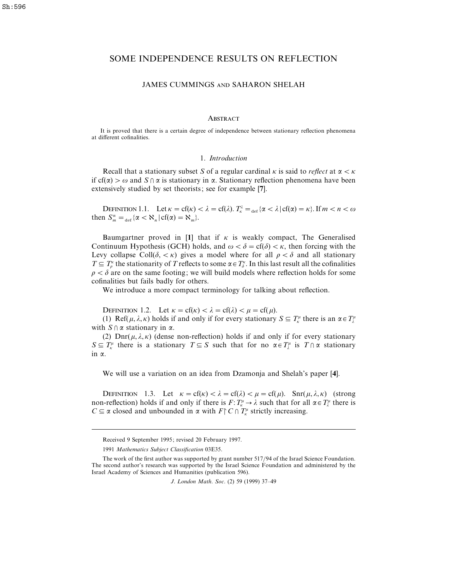# SOME INDEPENDENCE RESULTS ON REFLECTION

## JAMES CUMMINGS AND SAHARON SHELAH

## **ABSTRACT**

It is proved that there is a certain degree of independence between stationary reflection phenomena at different cofinalities.

#### 1. *Introduction*

Recall that a stationary subset *S* of a regular cardinal  $\kappa$  is said to *reflect* at  $\alpha < \kappa$ if cf( $\alpha$ )  $> \omega$  and *S*  $\alpha$  is stationary in  $\alpha$ . Stationary reflection phenomena have been extensively studied by set theorists; see for example [**7**].

DEFINITION 1.1. Let  $\kappa = cf(\kappa) < \lambda = cf(\lambda)$ .  $T_{\kappa}^{\lambda} = \frac{1}{\det{\alpha}} \{\alpha < \lambda | cf(\alpha) = \kappa\}$ . If  $m < n < \omega$ then  $S_m^n = \text{det} \{ \alpha < \aleph_n \}$  cf( $\alpha$ ) =  $\aleph_m$ .

Baumgartner proved in [1] that if  $\kappa$  is weakly compact, The Generalised Continuum Hypothesis (GCH) holds, and  $\omega < \delta = cf(\delta) < \kappa$ , then forcing with the Levy collapse Coll( $\delta$ ,  $\lt k$ ) gives a model where for all  $\rho < \delta$  and all stationary  $T \subseteq T_\rho^{\kappa}$  the stationarity of *T* reflects to some  $\alpha \in T_\delta^{\kappa}$ . In this last result all the cofinalities  $\rho < \delta$  are on the same footing; we will build models where reflection holds for some cofinalities but fails badly for others.

We introduce a more compact terminology for talking about reflection.

DEFINITION 1.2. Let  $\kappa = cf(\kappa) < \lambda = cf(\lambda) < \mu = cf(\mu)$ .

(1) Ref( $\mu$ ,  $\lambda$ ,  $\kappa$ ) holds if and only if for every stationary  $S \subseteq T_{\kappa}^{\mu}$  there is an  $\alpha \in T_{\lambda}^{\mu}$ with  $S \cap \alpha$  stationary in  $\alpha$ .

(2) Dnr( $\mu$ ,  $\lambda$ ,  $\kappa$ ) (dense non-reflection) holds if and only if for every stationary *S* $\subseteq T_k^{\mu}$  there is a stationary *T* $\subseteq$  *S* such that for no  $\alpha \in T_k^{\mu}$  is *T* $\cap \alpha$  stationary in α.

We will use a variation on an idea from Dzamonja and Shelah's paper [**4**].

DEFINITION 1.3. Let  $\kappa = cf(\kappa) < \lambda = cf(\lambda) < \mu = cf(\mu)$ . Snr( $\mu, \lambda, \kappa$ ) (strong non-reflection) holds if and only if there is  $F: T_K^\mu \to \lambda$  such that for all  $\alpha \in T_\lambda^\mu$  there is *C*  $\subseteq$  *α* closed and unbounded in *α* with *F*  $\cap$  *C*  $\cap$  *T*<sup> $\mu$ </sup> strictly increasing.

Received 9 September 1995; revised 20 February 1997.

<sup>1991</sup> *Mathematics Subject Classification* 03E35.

The work of the first author was supported by grant number 517/94 of the Israel Science Foundation. The second author's research was supported by the Israel Science Foundation and administered by the Israel Academy of Sciences and Humanities (publication 596).

*J*. *London Math*. *Soc*. (2) 59 (1999) 37–49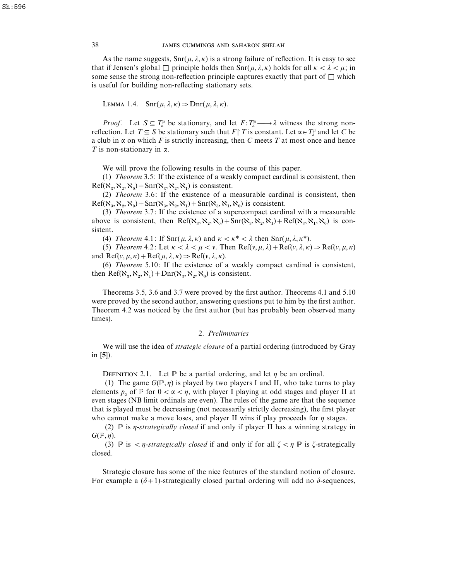## 38 JAMES CUMMINGS AND SAHARON SHELAH

As the name suggests,  $\text{Snr}(\mu, \lambda, \kappa)$  is a strong failure of reflection. It is easy to see that if Jensen's global  $\Box$  principle holds then  $\text{Snr}(\mu, \lambda, \kappa)$  holds for all  $\kappa < \lambda < \mu$ ; in some sense the strong non-reflection principle captures exactly that part of  $\square$  which is useful for building non-reflecting stationary sets.

LEMMA 1.4. 
$$
\text{Snr}(\mu, \lambda, \kappa) \Rightarrow \text{Dnr}(\mu, \lambda, \kappa)
$$
.

*Proof.* Let  $S \subseteq T_K^{\mu}$  be stationary, and let  $F: T_K^{\mu} \longrightarrow \lambda$  witness the strong nonreflection. Let  $T \subseteq S$  be stationary such that  $F \upharpoonright T$  is constant. Let  $\alpha \in T_{\lambda}^{\mu}$  and let *C* be a club in  $\alpha$  on which *F* is strictly increasing, then *C* meets *T* at most once and hence *T* is non-stationary in  $\alpha$ .

We will prove the following results in the course of this paper.

(1) *Theorem* 3.5: If the existence of a weakly compact cardinal is consistent, then  $Ref(\aleph_3, \aleph_2, \aleph_0) + Snr(\aleph_3, \aleph_2, \aleph_1)$  is consistent.

 (2) *Theorem* 3.6: If the existence of a measurable cardinal is consistent, then  $Ref(\aleph_3, \aleph_2, \aleph_0) + Snr(\aleph_3, \aleph_2, \aleph_1) + Snr(\aleph_3, \aleph_1, \aleph_0)$  is consistent.

 (3) *Theorem* 3.7: If the existence of a supercompact cardinal with a measurable above is consistent, then  $\text{Ref}(\aleph_3, \aleph_2, \aleph_0) + \text{Snr}(\aleph_3, \aleph_2, \aleph_1) + \text{Ref}(\aleph_3, \aleph_1, \aleph_0)$  is consistent.

(4) *Theorem* 4.1: If  $\text{Snr}(\mu, \lambda, \kappa)$  and  $\kappa < \kappa^* < \lambda$  then  $\text{Snr}(\mu, \lambda, \kappa^*)$ .

(5) *Theorem* 4.2: Let  $\kappa < \lambda < \mu < \nu$ . Then Ref( $\nu, \mu, \lambda$ ) + Ref( $\nu, \lambda, \kappa$ )  $\Rightarrow$  Ref( $\nu, \mu, \kappa$ ) and Ref( $v, \mu, \kappa$ ) + Ref( $\mu, \lambda, \kappa$ )  $\Rightarrow$  Ref( $v, \lambda, \kappa$ ).

(6) *Theorem* 5.10: If the existence of a weakly compact cardinal is consistent, then Ref( $\aleph_3$ ,  $\aleph_2$ ,  $\aleph_1$ ) + Dnr( $\aleph_3$ ,  $\aleph_2$ ,  $\aleph_0$ ) is consistent.

Theorems 3.5, 3.6 and 3.7 were proved by the first author. Theorems 4.1 and 5.10 were proved by the second author, answering questions put to him by the first author. Theorem 4.2 was noticed by the first author (but has probably been observed many times).

#### 2. *Preliminaries*

We will use the idea of *strategic closure* of a partial ordering (introduced by Gray in [**5**]).

DEFINITION 2.1. Let  $\mathbb P$  be a partial ordering, and let  $\eta$  be an ordinal.

(1) The game  $G(\mathbb{P}, \eta)$  is played by two players I and II, who take turns to play elements  $p_{\alpha}$  of  $\mathbb{P}$  for  $0 < \alpha < \eta$ , with player I playing at odd stages and player II at even stages (NB limit ordinals are even). The rules of the game are that the sequence that is played must be decreasing (not necessarily strictly decreasing), the first player who cannot make a move loses, and player II wins if play proceeds for  $\eta$  stages.

(2)  $\mathbb P$  is *η-strategically closed* if and only if player II has a winning strategy in  $G(\mathbb{P}, \eta)$ .

(3)  $\mathbb P$  is  $\langle \eta$ -*strategically closed* if and only if for all  $\zeta \langle \eta \rangle$  is  $\zeta$ -strategically closed.

Strategic closure has some of the nice features of the standard notion of closure. For example a  $(\delta+1)$ -strategically closed partial ordering will add no  $\delta$ -sequences,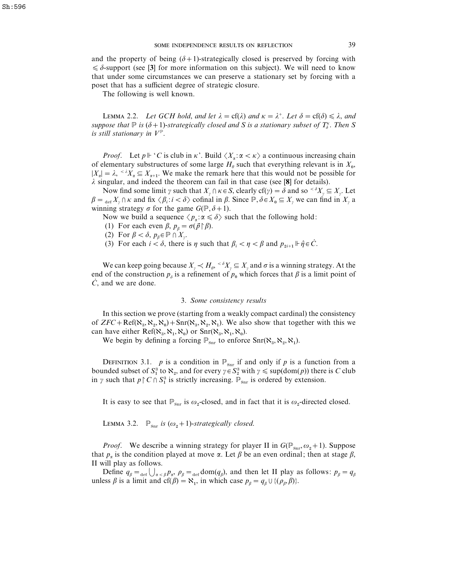and the property of being  $(\delta+1)$ -strategically closed is preserved by forcing with  $\leq \delta$ -support (see [3] for more information on this subject). We will need to know that under some circumstances we can preserve a stationary set by forcing with a poset that has a sufficient degree of strategic closure.

The following is well known.

**LEMMA** 2.2. *Let GCH hold, and let*  $\lambda = cf(\lambda)$  *and*  $\kappa = \lambda^+$ . *Let*  $\delta = cf(\delta) \leq \lambda$ , *and suppose that*  $\mathbb P$  *is* ( $\delta$  + 1)-*strategically closed and* S *is a stationary subset of*  $T_\delta^{\kappa}$ . Then S *is still stationary in*  $V^{\mathbb{P}}$ .

*Proof.* Let  $p \Vdash C$  is club in  $\kappa'$ . Build  $\langle X_{\alpha} : \alpha < \kappa \rangle$  a continuous increasing chain of elementary substructures of some large  $H_{\theta}$  such that everything relevant is in  $X_0$ ,  $|X_{\alpha}| = \lambda$ ,  $\lambda X_{\alpha} \subseteq X_{\alpha+1}$ . We make the remark here that this would not be possible for λ singular, and indeed the theorem can fail in that case (see [**8**] for details).

Now find some limit  $\gamma$  such that  $X_{\gamma} \cap \kappa \in S$ , clearly cf( $\gamma$ ) =  $\delta$  and so  $\langle \delta X_{\gamma} \subseteq X_{\gamma}$ . Let  $\beta = \lim_{\alpha \in X_\gamma} X_\gamma \cap \kappa$  and fix  $\langle \beta_i : i \langle \delta \rangle$  cofinal in  $\beta$ . Since  $\mathbb{P}, \delta \in X_0 \subseteq X_\gamma$  we can find in  $X_\gamma$  a winning strategy  $\sigma$  for the game  $G(\mathbb{P}, \delta+1)$ .

Now we build a sequence  $\langle p_{\alpha} : \alpha \leq \delta \rangle$  such that the following hold:

(1) For each even  $\beta$ ,  $p_\beta = \sigma(\vec{p} \restriction \beta)$ .

- (2) For  $\beta < \delta$ ,  $p_\beta \in \mathbb{P} \cap X_\gamma$ .
- (3) For each  $i < \delta$ , there is  $\eta$  such that  $\beta_i < \eta < \beta$  and  $p_{2i+1} \Vdash \hat{\eta} \in \dot{C}$ .

We can keep going because  $X_{\gamma} \prec H_{\theta}$ ,  $\leq \delta X_{\gamma} \subseteq X_{\gamma}$  and  $\sigma$  is a winning strategy. At the end of the construction  $p_{\delta}$  is a refinement of  $p_0$  which forces that  $\beta$  is a limit point of  $\dot{C}$ , and we are done.

## 3. *Some consistency results*

In this section we prove (starting from a weakly compact cardinal) the consistency of  $ZFC + \text{Ref}(\aleph_3, \aleph_2, \aleph_0) + \text{Snr}(\aleph_3, \aleph_2, \aleph_1)$ . We also show that together with this we can have either Ref( $\aleph_3$ ,  $\aleph_1$ ,  $\aleph_0$ ) or Snr( $\aleph_3$ ,  $\aleph_1$ ,  $\aleph_0$ ).

We begin by defining a forcing  $\mathbb{P}_{\text{Snr}}$  to enforce  $\text{Snr}(\aleph_3, \aleph_2, \aleph_1)$ .

DEFINITION 3.1. *p* is a condition in  $\mathbb{P}_{\text{Snr}}$  if and only if *p* is a function from a berinthon 5.1. *p* is a condition in  $\mathbb{P}_{\text{snr}}$  in and only if *p* is a function from a bounded subset of  $S_1^3$  to  $\aleph_2$ , and for every  $\gamma \in S_2^3$  with  $\gamma \leq \sup(\text{dom}(p))$  there is *C* club bounded subset of  $S_1$  to  $S_2$ , and for every  $\gamma \in S_2$  with  $\gamma \leq$  supplaont *p*) there in  $\gamma$  such that  $p \nmid C \nmid S_1^3$  is strictly increasing.  $\mathbb{P}_{\text{snr}}$  is ordered by extension.

It is easy to see that  $\mathbb{P}_{\text{snr}}$  is  $\omega_2$ -closed, and in fact that it is  $\omega_2$ -directed closed.

LEMMA 3.2.  $\mathbb{P}_{\text{snr}}$  *is*  $(\omega_2 + 1)$ -*strategically closed.* 

*Proof.* We describe a winning strategy for player II in  $G(\mathbb{P}_{\text{snr}}, \omega_2 + 1)$ . Suppose that  $p_\alpha$  is the condition played at move  $\alpha$ . Let  $\beta$  be an even ordinal; then at stage  $\beta$ , II will play as follows.

Define  $q_\beta = \frac{1}{\det{Q_{\alpha} \leq \beta}} p_\alpha$ ,  $\rho_\beta = \frac{1}{\det{G_{\beta}}}$  and then let II play as follows:  $p_\beta = q_\beta$ unless  $\beta$  is a limit and cf( $\beta$ ) =  $\aleph_1$ , in which case  $p_\beta = q_\beta \cup \{(\rho_\beta, \beta)\}.$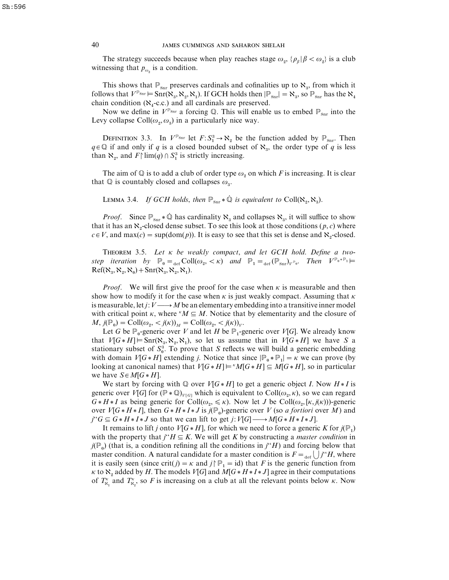The strategy succeeds because when play reaches stage  $\omega_2$ ,  $\{\rho_\beta | \beta < \omega_2\}$  is a club witnessing that  $p_{\omega_{\alpha}}$  is a condition.

This shows that  $\mathbb{P}_{\text{Snr}}$  preserves cardinals and cofinalities up to  $\aleph_3$ , from which it follows that  $V^{\mathbb{P}_{\text{Snr}}}$   $\models$  Snr( $\aleph_3$ ,  $\aleph_2$ ,  $\aleph_1$ ). If GCH holds then  $|\mathbb{P}_{\text{Snr}}| = \aleph_3$ , so  $\mathbb{P}_{\text{Snr}}$  has the  $\aleph_4$  chain condition ( $\aleph_4$ -c.c.) and all cardinals are preserved. -c.c.) and all cardinals are preserved.

Now we define in  $V^{\mathbb{P}_{\text{Snr}}}$  a forcing Q. This will enable us to embed  $\mathbb{P}_{\text{Snr}}$  into the Levy collapse Coll $(\omega_2, \omega_3)$  in a particularly nice way.

DEFINITION 3.3. In  $V^{\mathbb{P}_{\text{Snr}}}$  let  $F: S_1^3 \to \aleph_2$  be the function added by  $\mathbb{P}_{\text{Snr}}$ . Then  $q \in \mathbb{Q}$  if and only if *q* is a closed bounded subset of  $\aleph_3$ , the order type of *q* is less  $q \in \mathbb{Q}$  in and only if q is a closed bounded subset<br>than  $\aleph_2$ , and  $F\mid \lim(q) \cap S_1^3$  is strictly increasing.

The aim of  $\mathbb Q$  is to add a club of order type  $\omega_2$  on which *F* is increasing. It is clear that  $\mathbb Q$  is countably closed and collapses  $\omega_3$ .

LEMMA 3.4. *If GCH holds*, *then*  $\mathbb{P}_{\text{snr}} * \dot{\mathbb{Q}}$  *is equivalent to* Coll( $\aleph_2, \aleph_3$ ).

*Proof.* Since  $\mathbb{P}_{\text{snr}} * \mathbb{Q}$  has cardinality  $\aleph_3$  and collapses  $\aleph_3$ , it will suffice to show that it has an  $\aleph_2$ -closed dense subset. To see this look at those conditions  $(p, c)$  where  $c \in V$ , and max(*c*) = sup(dom(*p*)). It is easy to see that this set is dense and  $\aleph_2$ -closed.

T 3.5. *Let* κ *be weakly compact*, *and let GCH hold*. *Define a two* $step$  *iteration*  $by$   $\mathbb{P}_{0} =_{def} Coll(\omega_{2}, < \kappa)$  *and*  $\mathbb{P}_{1} =_{def} (\mathbb{P}_{\text{snr}})_{V^{p_{0}}}$ . *Then*  $V^{p_{0}*p_{1}} \models$  $Ref(\aleph_3, \aleph_2, \aleph_0) + Snr(\aleph_3, \aleph_2, \aleph_1).$ 

*Proof.* We will first give the proof for the case when  $\kappa$  is measurable and then show how to modify it for the case when  $\kappa$  is just weakly compact. Assuming that  $\kappa$ is measurable, let *j*:  $V \longrightarrow M$  be an elementary embedding into a transitive inner model with critical point  $\kappa$ , where  $^kM \subseteq M$ . Notice that by elementarity and the closure of  $M$ ,  $j(\mathbb{P}_0) = \text{Coll}(\omega_2, \langle j(\kappa) \rangle_M) = \text{Coll}(\omega_2, \langle j(\kappa) \rangle_V).$ 

Let *G* be  $P_0$ -generic over *V* and let *H* be  $P_1$ -generic over *V*[*G*]. We already know that  $V[G * H] \models \text{Snr}(\aleph_3, \aleph_2, \aleph_1)$ , so let us assume that in  $V[G * H]$  we have *S* a that  $v_1G * \pi_1 \mapsto \sin(\kappa_3, \kappa_2, \kappa_1)$ , so let us assume that in  $v_1G * \pi_1$  we have *S* a stationary subset of  $S_0^3$ . To prove that *S* reflects we will build a generic embedding with domain *V*[*G* \* *H*] extending *j*. Notice that since  $\left| \mathbb{P}_{0} \ast \mathbb{P}_{1} \right| = \kappa$  we can prove (by looking at canonical names) that  $V[G * H] \models \text{M}[G * H] \subseteq M[G * H]$ , so in particular we have  $S \in M[G * H]$ .

We start by forcing with  $\mathbb{Q}$  over  $V[G * H]$  to get a generic object *I*. Now  $H * I$  is generic over *V*[*G*] for  $(\mathbb{P} * \mathbb{Q})_{V[G]}$  which is equivalent to Coll $(\omega_2, \kappa)$ , so we can regard  $G * H * I$  as being generic for  $\text{Coll}(\omega_2, \leq \kappa)$ . Now let *J* be  $\text{Coll}(\omega_2, [\kappa, j(\kappa))$ -generic over  $V[G * H * I]$ , then  $G * H * I * J$  is  $j(\mathbb{P}_0)$ -generic over  $V$  (so *a fortiori* over  $M$ ) and  $f^{\prime\prime}G \subseteq G * H * I * J$  so that we can lift to get  $j: V[G] \longrightarrow M[G * H * I * J].$ 

It remains to lift *j* onto  $V[G*H]$ , for which we need to force a generic *K* for  $j(\mathbb{P}_1)$ with the property that  $j^*H \subseteq K$ . We will get *K* by constructing a *master condition* in  $j(\mathbb{P}_{0})$  (that is, a condition refining all the conditions in  $j^{\prime\prime}H$ ) and forcing below that master condition. A natural candidate for a master condition is  $F = \text{det} \bigcup_{i} f^i H$ , where it is easily seen (since crit(*j*) =  $\kappa$  and *j* $\upharpoonright \mathbb{P}_1$  = id) that *F* is the generic function from  $\kappa$  to  $\aleph_2$  added by *H*. The models *V*[*G*] and *M*[*G* \* *H* \* *I* \* *J*] agree in their computations of  $T_{\aleph_1}^{\kappa}$  and  $T_{\aleph_2}^{\kappa}$ , so *F* is increasing on a club at all the relevant points below  $\kappa$ . Now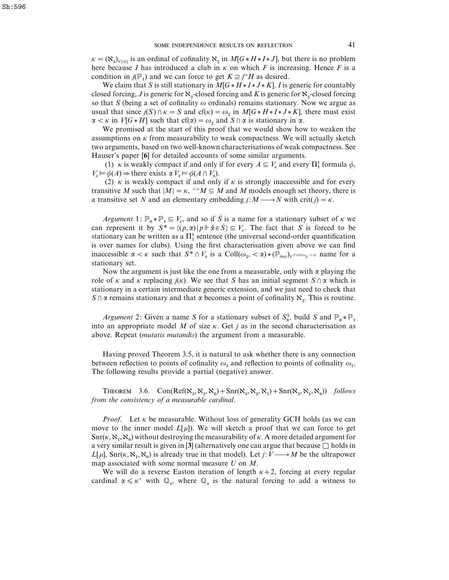$\kappa = (\aleph_3)_{V[G]}$  is an ordinal of cofinality  $\aleph_2$  in *M*[*G* \* *H* \* *I* \* *J*], but there is no problem here because *I* has introduced a club in  $\kappa$  on which *F* is increasing. Hence *F* is a condition in  $j(\mathbb{P}_1)$  and we can force to get  $K \supseteq j^*H$  as desired.

We claim that *S* is still stationary in  $M[G * H * I * J * K]$ . *I* is generic for countably closed forcing, *J* is generic for  $\aleph_2$ -closed forcing and *K* is generic for  $\aleph_2$ -closed forcing so that *S* (being a set of cofinality  $\omega$  ordinals) remains stationary. Now we argue as usual that since  $j(S) \cap \kappa = S$  and cf( $\kappa$ ) =  $\omega_2$  in  $M[G * H * I * J * K]$ , there must exist  $\alpha < \kappa$  in *V*[*G* \* *H*] such that cf( $\alpha$ ) =  $\omega_2$  and *S*  $\cap$   $\alpha$  is stationary in  $\alpha$ .

We promised at the start of this proof that we would show how to weaken the assumptions on  $\kappa$  from measurability to weak compactness. We will actually sketch two arguments, based on two well-known characterisations of weak compactness. See Hauser's paper [**6**] for detailed accounts of some similar arguments.

(1) *κ* is weakly compact if and only if for every  $A \subseteq V_{\kappa}$  and every  $\Pi_1^1$  formula  $\phi$ ,  $V_k \vDash \phi(A) \Rightarrow$  there exists  $\alpha V_{\alpha} \vDash \phi(A \cap V_{\alpha})$ .

(2)  $\kappa$  is weakly compact if and only if  $\kappa$  is strongly inaccessible and for every transitive *M* such that  $|M| = \kappa$ ,  $\kappa M \subseteq M$  and *M* models enough set theory, there is a transitive set *N* and an elementary embedding  $j: M \longrightarrow N$  with crit( $j$ ) =  $\kappa$ .

*Argument* 1:  $\mathbb{P}_{0} * \mathbb{P}_{1} \subseteq V_{\kappa}$ , and so if *S* is a name for a stationary subset of  $\kappa$  we can represent it by  $S^* = \{(p, \alpha) | p \vDash \hat{\alpha} \in \hat{S} \} \subseteq V_{\kappa}$ . The fact that *S* is forced to be can represent it by  $S^x = \{(p, \alpha) | p \in \alpha \in S\} \subseteq V_{\kappa}$ . The fact that S is forced to be stationary can be written as a  $\Pi_1^1$  sentence (the universal second-order quantification is over names for clubs). Using the first characterisation given above we can find inaccessible  $\alpha < \kappa$  such that  $S^* \cap V_\alpha$  is a Coll $(\omega_2, < \alpha) * (\mathbb{P}_{\text{snr}})$ <sub>*V*</sub><sup>Coll(ω<sub>2</sub>, < a) name for a</sup> stationary set.

Now the argument is just like the one from a measurable, only with  $\alpha$  playing the role of  $\kappa$  and  $\kappa$  replacing  $j(\kappa)$ . We see that *S* has an initial segment  $S \cap \alpha$  which is stationary in a certain intermediate generic extension, and we just need to check that *S*  $\cap$   $\alpha$  remains stationary and that  $\alpha$  becomes a point of cofinality  $\aleph_2$ . This is routine.

*Argument* 2: Given a name *S* for a stationary subset of  $S_0^3$ , build *S* and  $\mathbb{P}_0 * \mathbb{P}_1$  into an appropriate model *M* of size κ. Get *j* as in the second characterisation as above. Repeat (*mutatis mutandis*) the argument from a measurable.

Having proved Theorem 3.5, it is natural to ask whether there is any connection between reflection to points of cofinality  $\omega_2$  and reflection to points of cofinality  $\omega_1$ . The following results provide a partial (negative) answer.

THEOREM 3.6. Con(Ref( $\aleph_3$ ,  $\aleph_2$ ,  $\aleph_0$ ) + Snr( $\aleph_3$ ,  $\aleph_3$ ,  $\aleph_1$ ) + Snr( $\aleph_3$ ,  $\aleph_3$ ,  $\aleph_0$ )) *follows from the consistency of a measurable cardinal*.

*Proof.* Let  $\kappa$  be measurable. Without loss of generality GCH holds (as we can move to the inner model  $L[\mu]$ ). We will sketch a proof that we can force to get  $\text{Snr}(\kappa, \aleph_1, \aleph_0)$  without destroying the measurability of  $\kappa$ . A more detailed argument for a very similar result is given in [3] (alternatively one can argue that because  $\Box$  holds in *L*[ $\mu$ ], Snr( $\kappa$ ,  $\aleph_1$ ,  $\aleph_0$ ) is already true in that model). Let *j*: *V* — *M* be the ultrapower map associated with some normal measure *U* on *M*.

We will do a reverse Easton iteration of length  $\kappa + 2$ , forcing at every regular cardinal  $\alpha \leq \kappa^+$  with  $\mathbb{Q}_{\alpha}$ , where  $\mathbb{Q}_{\alpha}$  is the natural forcing to add a witness to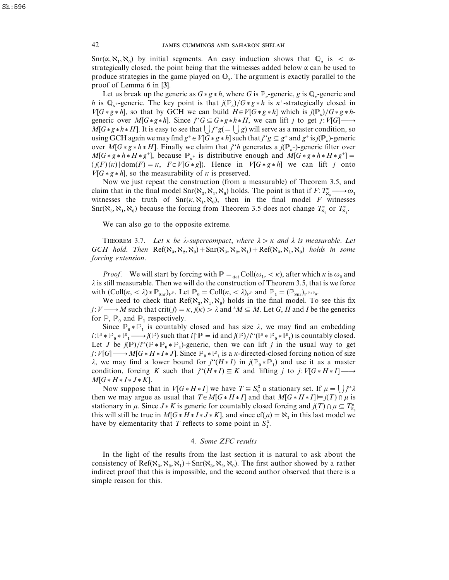Snr( $\alpha, \aleph_1, \aleph_0$ ) by initial segments. An easy induction shows that  $\mathbb{Q}_\alpha$  is <  $\alpha$ - strategically closed, the point being that the witnesses added below α can be used to produce strategies in the game played on  $\mathbb{Q}_n$ . The argument is exactly parallel to the proof of Lemma 6 in [**3**].

Let us break up the generic as  $G * g * h$ , where G is  $\mathbb{P}_r$ -generic, g is  $\mathbb{Q}_r$ -generic and *h* is  $\mathbb{Q}_{k+}$ -generic. The key point is that  $j(\mathbb{P}_{k})/G * g * h$  is  $\kappa^{+}$ -strategically closed in *V*[*G* \* *g* \* *h*], so that by GCH we can build  $H \in V[G * g * h]$  which is  $j(\mathbb{P}_x)/G * g * h$ generic over  $M[G * g * h]$ . Since  $j``G \subseteq G * g * h * H$ , we can lift *j* to get *j*:  $V[G] \longrightarrow$  $M[G * g * h * H]$ . It is easy to see that  $\bigcup_{i=1}^{i} g(i) = \bigcup_{i=1}^{i} g(i)$  will serve as a master condition, so using GCH again we may find  $g^+ \in V[G * g * h]$  such that  $j^*g \subseteq g^+$  and  $g^+$  is  $j(\mathbb{P}_k)$ -generic over *M*[ $G * g * h * H$ ]. Finally we claim that *j*"*h* generates a  $j(\mathbb{P}_{k^+})$ -generic filter over  $M[G * g * h * H * g^+]$ , because  $\mathbb{P}_{k^+}$  is distributive enough and  $M[G * g * h * H * g^+] =$  $\{j(F)(\kappa)|\text{dom}(F) = \kappa, \ F \in V[G * g]\}.$  Hence in  $V[G * g * h]$  we can lift *j* onto  $V[G * g * h]$ , so the measurability of  $\kappa$  is preserved.

Now we just repeat the construction (from a measurable) of Theorem 3.5, and claim that in the final model  $\text{Snr}(\aleph_3, \aleph_1, \aleph_0)$  holds. The point is that if  $F: T^{\kappa}_{\aleph_0} \longrightarrow \omega_1$ witnesses the truth of  $\text{Snr}(\kappa, \aleph_1, \aleph_0)$ , then in the final model *F* witnesses  $\text{Snr}(\aleph_3, \aleph_1, \aleph_0)$  because the forcing from Theorem 3.5 does not change  $T_{\aleph_0}^{\kappa}$  or  $T_{\aleph_1}^{\kappa}$ .

We can also go to the opposite extreme.

THEOREM 3.7. Let  $\kappa$  be  $\lambda$ -supercompact, where  $\lambda > \kappa$  and  $\lambda$  is measurable. Let  $GCH$  *hold*. *Then*  $\text{Ref}(\aleph_3, \aleph_2, \aleph_0) + \text{Snr}(\aleph_3, \aleph_2, \aleph_1) + \text{Ref}(\aleph_3, \aleph_1, \aleph_0)$  *holds in some forcing extension*.

*Proof.* We will start by forcing with  $\mathbb{P} = \text{det } \text{Coll}(\omega_1, \langle \kappa \rangle)$ , after which  $\kappa$  is  $\omega_2$  and  $\lambda$  is still measurable. Then we will do the construction of Theorem 3.5, that is we force with  $(Coll(\kappa, <\lambda) * \mathbb{P}_{\text{snr}})_{V^{\mathbb{P}}}$ . Let  $\mathbb{P}_{0} = Coll(\kappa, <\lambda)_{V^{\mathbb{P}}}$  and  $\mathbb{P}_{1} = (\mathbb{P}_{\text{snr}})_{V^{\mathbb{P} * \mathbb{P}}0}$ .

We need to check that  $Ref(\aleph_3, \aleph_1, \aleph_0)$  holds in the final model. To see this fix *j*:  $V \rightarrow M$  such that crit(*j*) =  $\kappa$ , *j*( $\kappa$ ) >  $\lambda$  and  $\lambda M \subseteq M$ . Let *G*, *H* and *I* be the generics for  $\mathbb{P}$ ,  $\mathbb{P}_0$  and  $\mathbb{P}_1$  respectively.

Since  $\mathbb{P}_0 * \mathbb{P}_1$  is countably closed and has size  $\lambda$ , we may find an embedding  $i: \mathbb{P} * \mathbb{P}_0 * \mathbb{P}_1 \longrightarrow j(\mathbb{P})$  such that  $i \upharpoonright \mathbb{P} = id$  and  $j(\mathbb{P})/i$ <sup>t</sup>( $\mathbb{P} * \mathbb{P}_0 * \mathbb{P}_1$ ) is countably closed. Let *J* be  $j(\mathbb{P})/i$ <sup>\*</sup> $(\mathbb{P} * \mathbb{P}_0 * \mathbb{P}_1)$ -generic, then we can lift *j* in the usual way to get *j*:  $V[G] \longrightarrow M[G * H * I * J]$ . Since  $\mathbb{P}_0 * \mathbb{P}_1$  is a *k*-directed-closed forcing notion of size λ, we may find a lower bound for  $j''(H * I)$  in  $j(\mathbb{P}_0 * \mathbb{P}_1)$  and use it as a master condition, forcing *K* such that  $j^{(0)}(H \ast I) \subseteq K$  and lifting *j* to  $j: V[G \ast H \ast I] \longrightarrow$  $M[G * H * I * J * K].$ 

Now suppose that in *V*[*G* \* *H* \* *I*] we have  $T \subseteq S_0^3$  a stationary set. If  $\mu = \bigcup j^* \lambda$ then we may argue as usual that  $T \in M[G*H*I]$  and that  $M[G*H*I] \models j(T) \cap \mu$  is stationary in  $\mu$ . Since  $J*K$  is generic for countably closed forcing and  $j(T) \cap \mu \subseteq T_{\aleph_0}^{\mu}$ this will still be true in  $M[G * H * I * J * K]$ , and since  $cf(\mu) = \aleph_1$  in this last model we this will still be true in  $M[\sigma * T * T * J * K]$ , and since  $c_1(\mu)$ <br>have by elementarity that *T* reflects to some point in  $S_1^3$ .

# 4. *Some ZFC results*

In the light of the results from the last section it is natural to ask about the consistency of Ref( $\aleph_3$ ,  $\aleph_2$ ,  $\aleph_1$ ) + Snr( $\aleph_3$ ,  $\aleph_2$ ,  $\aleph_0$ ). The first author showed by a rather indirect proof that this is impossible, and the second author observed that there is a simple reason for this.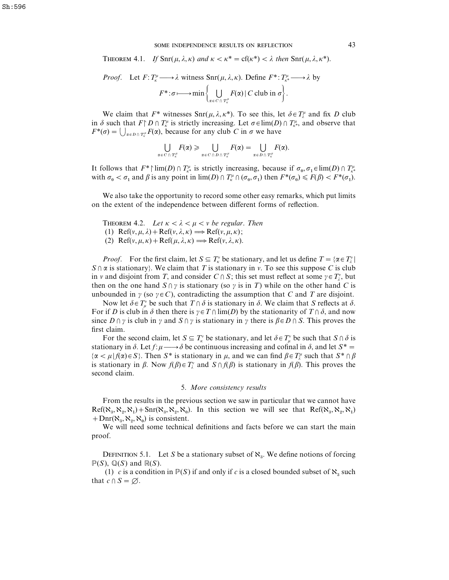**THEOREM 4.1.** *If*  $\text{Snr}(\mu, \lambda, \kappa)$  *and*  $\kappa < \kappa^* = \text{cf}(\kappa^*) < \lambda$  *then*  $\text{Snr}(\mu, \lambda, \kappa^*)$ .

*Proof.* Let 
$$
F: T_{\kappa}^{\mu} \longrightarrow \lambda
$$
 witness  $\text{Snr}(\mu, \lambda, \kappa)$ . Define  $F^*: T_{\kappa^*}^{\mu} \longrightarrow \lambda$  by  

$$
F^*: \sigma \longmapsto \min \left\{ \bigcup_{\alpha \in C \cap T_{\kappa}^{\mu}} F(\alpha) \mid C \text{ club in } \sigma \right\}.
$$

We claim that  $F^*$  witnesses  $\text{Snr}(\mu, \lambda, \kappa^*)$ . To see this, let  $\delta \in T^{\mu}_\lambda$  and fix *D* club in  $\delta$  such that  $F \upharpoonright D \cap T_{\kappa}^{\mu}$  is strictly increasing. Let  $\sigma \in \lim(D) \cap T_{\kappa^{*}}^{\mu}$ , and observe that  $F^*(\sigma) = \bigcup_{\alpha \in D \cap T_k^{\mu}} F(\alpha)$ , because for any club *C* in  $\sigma$  we have

$$
\bigcup_{\alpha \in C \cap T_k^{\mu}} F(\alpha) \geqslant \bigcup_{\alpha \in C \cap D \cap T_k^{\mu}} F(\alpha) = \bigcup_{\alpha \in D \cap T_k^{\mu}} F(\alpha).
$$

It follows that  $F^*$  lim(*D*)  $\cap T_{\kappa^*}$  is strictly increasing, because if  $\sigma_0, \sigma_1 \in \lim(D) \cap T_{\kappa^*}^{\mu}$ with  $\sigma_0 < \sigma_1$  and  $\beta$  is any point in lim(*D*)  $\cap$   $T_k^{\mu} \cap (\sigma_0, \sigma_1)$  then  $F^*(\sigma_0) \leq F(\beta) < F^*(\sigma_1)$ .

We also take the opportunity to record some other easy remarks, which put limits on the extent of the independence between different forms of reflection.

THEOREM 4.2. *Let*  $\kappa < \lambda < \mu < \nu$  *be regular. Then* (1) Ref( $v, \mu, \lambda$ ) + Ref( $v, \lambda, \kappa$ )  $\Longrightarrow$  Ref( $v, \mu, \kappa$ ); (2) Ref( $v, \mu, \kappa$ ) + Ref( $\mu, \lambda, \kappa$ )  $\Longrightarrow$  Ref( $v, \lambda, \kappa$ ).

*Proof.* For the first claim, let  $S \subseteq T_\kappa^v$  be stationary, and let us define  $T = \{ \alpha \in T_\kappa^v \mid \kappa \in T_\kappa^v \}$  $S \cap \alpha$  is stationary}. We claim that *T* is stationary in *v*. To see this suppose *C* is club in *v* and disjoint from *T*, and consider  $C \cap S$ ; this set must reflect at some  $\gamma \in T_{\lambda}^{\nu}$ , but then on the one hand  $S \cap \gamma$  is stationary (so  $\gamma$  is in *T*) while on the other hand *C* is unbounded in  $\gamma$  (so  $\gamma \in C$ ), contradicting the assumption that *C* and *T* are disjoint.

Now let  $\delta \in T^{\nu}_{\mu}$  be such that  $T \cap \delta$  is stationary in  $\delta$ . We claim that *S* reflects at  $\delta$ . For if *D* is club in  $\delta$  then there is  $\gamma \in T \cap \lim(D)$  by the stationarity of  $T \cap \delta$ , and now since  $D \cap \gamma$  is club in  $\gamma$  and  $S \cap \gamma$  is stationary in  $\gamma$  there is  $\beta \in D \cap S$ . This proves the first claim.

For the second claim, let  $S \subseteq T_\kappa^v$  be stationary, and let  $\delta \in T_\mu^v$  be such that  $S \cap \delta$  is stationary in  $\delta$ . Let  $f: \mu \longrightarrow \delta$  be continuous increasing and cofinal in  $\delta$ , and let  $S^* =$  $\{\alpha < \mu | f(\alpha) \in S\}$ . Then  $S^*$  is stationary in  $\mu$ , and we can find  $\beta \in T_\lambda^\mu$  such that  $S^* \cap \beta$ is stationary in  $\beta$ . Now  $f(\beta) \in T_{\lambda}^{\nu}$  and  $S \cap f(\beta)$  is stationary in  $f(\beta)$ . This proves the second claim.

#### 5. *More consistency results*

From the results in the previous section we saw in particular that we cannot have  $Ref(\aleph_3, \aleph_2, \aleph_1) + Snr(\aleph_3, \aleph_2, \aleph_0)$ . In this section we will see that  $Ref(\aleph_3, \aleph_2, \aleph_1)$ + Dnr( $\aleph_3$ ,  $\aleph_2$ ,  $\aleph_0$ ) is consistent.

 We will need some technical definitions and facts before we can start the main proof.

DEFINITION 5.1. Let *S* be a stationary subset of  $\aleph_3$ . We define notions of forcing  $\mathbb{P}(S)$ ,  $\mathbb{Q}(S)$  and  $\mathbb{R}(S)$ .

(1) *c* is a condition in  $P(S)$  if and only if *c* is a closed bounded subset of  $\aleph_3$  such that  $c \cap S = \emptyset$ .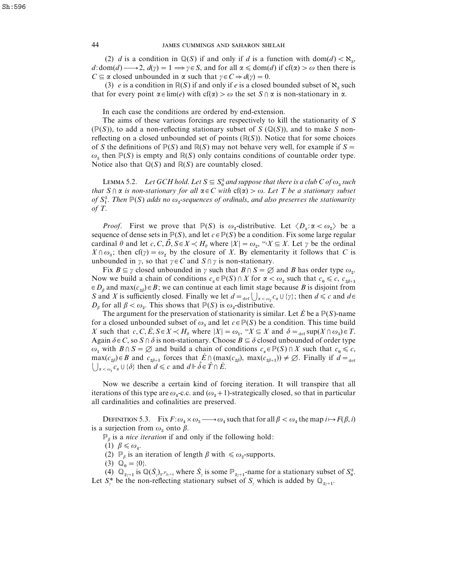## 44 JAMES CUMMINGS AND SAHARON SHELAH

(2) *d* is a condition in  $\mathbb{Q}(S)$  if and only if *d* is a function with dom(*d*) <  $\aleph_3$ , *d*:dom(*d*) — 2,  $d(\gamma) = 1 \implies \gamma \in S$ , and for all  $\alpha \leq d$ om(*d*) if cf( $\alpha$ ) >  $\omega$  then there is *C*  $\subseteq \alpha$  closed unbounded in  $\alpha$  such that  $\gamma \in C \Rightarrow d(\gamma) = 0$ .

(3) *e* is a condition in  $\mathbb{R}(S)$  if and only if *e* is a closed bounded subset of  $\aleph_3$  such that for every point  $\alpha \in \lim(e)$  with  $cf(\alpha) > \omega$  the set  $S \cap \alpha$  is non-stationary in  $\alpha$ .

In each case the conditions are ordered by end-extension.

The aims of these various forcings are respectively to kill the stationarity of *S* ( $\mathbb{P}(S)$ ), to add a non-reflecting stationary subset of *S* ( $\mathbb{Q}(S)$ ), and to make *S* nonreflecting on a closed unbounded set of points  $(\mathbb{R}(S))$ . Notice that for some choices of *S* the definitions of  $\mathbb{P}(S)$  and  $\mathbb{R}(S)$  may not behave very well, for example if  $S =$  $\omega_3$  then  $\mathbb{P}(S)$  is empty and  $\mathbb{R}(S)$  only contains conditions of countable order type. Notice also that  $\mathbb{Q}(S)$  and  $\mathbb{R}(S)$  are countably closed.

LEMMA 5.2. Let GCH hold. Let  $S \subseteq S_0^3$  and suppose that there is a club C of  $\omega_3$  such *that*  $S \cap \alpha$  *is non-stationary for all*  $\alpha \in C$  *with*  $cf(\alpha) > \omega$ . Let T be a stationary subset  $\int$   $\int$   $\alpha$  is non-stationary for all  $\alpha \in C$  with  $C(\alpha) > \omega$ . Let 1 be a stationary subset of  $S_1^3$ . Then  $\mathbb{P}(S)$  adds no  $\omega$ <sub>2</sub>-sequences of ordinals, and also preserves the stationarity *of T*.

*Proof.* First we prove that  $\mathbb{P}(S)$  is  $\omega_2$ -distributive. Let  $\langle D_\alpha : \alpha < \omega_2 \rangle$  be a sequence of dense sets in  $\mathbb{P}(S)$ , and let  $c \in \mathbb{P}(S)$  be a condition. Fix some large regular cardinal  $\theta$  and let  $c, C, \vec{D}, \vec{S} \in X \prec H_{\theta}$  where  $|X| = \omega_2$ ,  $\omega_1 X \subseteq X$ . Let  $\gamma$  be the ordinal  $X \cap \omega_3$ ; then cf(*γ*) =  $\omega_2$  by the closure of *X*. By elementarity it follows that *C* is unbounded in  $\gamma$ , so that  $\gamma \in C$  and  $S \cap \gamma$  is non-stationary.

Fix  $B \subseteq \gamma$  closed unbounded in  $\gamma$  such that  $B \cap S = \emptyset$  and *B* has order type  $\omega_2$ . Now we build a chain of conditions  $c_{\alpha} \in \mathbb{P}(S) \cap X$  for  $\alpha < \omega_2$  such that  $c_0 \leq c$ ,  $c_{2\beta+1} \in D_\beta$  and max $(c_{2\beta}) \in B$ ; we can continue at each limit stage because *B* is disjoint from  $\mathcal{B}_{2\beta}$ )  $\in$  *B*; we can continue at each limit stage because *B* is disjoint from *S* and *X* is sufficiently closed. Finally we let  $d = \text{det}\bigcup_{\alpha < \omega_2} c_{\alpha} \cup \{\gamma\}$ ; then  $d \leq c$  and  $d \in$ *D*<sub>β</sub> for all  $\beta < \omega_2$ . This shows that  $\mathbb{P}(S)$  is  $\omega_2$ -distributive.

The argument for the preservation of stationarity is similar. Let  $\dot{E}$  be a  $\mathbb{P}(S)$ -name for a closed unbounded subset of  $\omega_3$  and let  $c \in \mathbb{P}(S)$  be a condition. This time build *X* such that  $c, C, E, S \in X \prec H_\theta$  where  $|X| = \omega_1$ ,  ${}^\omega X \subseteq X$  and  $\delta = \text{def} \sup(X \cap \omega_3) \in T$ . Again  $\delta \in C$ , so  $S \cap \delta$  is non-stationary. Choose  $B \subseteq \delta$  closed unbounded of order type  $\omega_1$  with  $B \cap S = \emptyset$  and build a chain of conditions  $c_\alpha \in \mathbb{P}(S) \cap X$  such that  $c_0 \leq c$ ,  $\max(c_{2\beta}) \in B$  and  $c_{2\beta+1}$  forces that  $\vec{E} \cap (\max(c_{2\beta}), \max(c_{2\beta+1})) \neq \emptyset$ . Finally if  $d =_{\text{def}}$ <br> $\bigcup_{\alpha < \omega_1} c_{\alpha} \cup \{\delta\}$  then  $d \leq c$  and  $d \Vdash \delta \in \hat{T} \cap \vec{E}$ .  $c_{\alpha} \cup \{\delta\}$  then  $d \leq c$  and  $d \Vdash \hat{\delta} \in \hat{T} \cap \hat{E}$ .

Now we describe a certain kind of forcing iteration. It will transpire that all iterations of this type are  $\omega_4$ -c.c. and  $(\omega_2 + 1)$ -strategically closed, so that in particular all cardinalities and cofinalities are preserved.

DEFINITION 5.3. Fix  $F: \omega_4 \times \omega_3 \longrightarrow \omega_4$  such that for all  $\beta < \omega_4$  the map  $i \mapsto F(\beta, i)$ is a surjection from  $\omega_3$  onto  $\beta$ .

 $\mathbb{P}_\beta$  is a *nice iteration* if and only if the following hold:

(1)  $\beta \leq \omega_4$ .

(2)  $\mathbb{P}_{\beta}$  is an iteration of length  $\beta$  with  $\leq \omega_2$ -supports.

(3)  $\overline{\mathbb{Q}}_0 = \{0\}.$ 

(3)  $\mathbb{Q}_0 = \{0\}$ .<br>
(4)  $\mathbb{Q}_{2\gamma+1}$  is  $\mathbb{Q}(\dot{S}_\gamma)_{V^{P_{2\gamma+1}}}$  where  $\dot{S}_\gamma$  is some  $\mathbb{P}_{2\gamma+1}$ -name for a stationary subset of  $S_0^3$ . (4)  $\mathbb{Q}_{2\gamma+1}$  is  $\mathbb{Q}(S_{\gamma})_{V^{P_{2\gamma+1}}}$  where  $S_{\gamma}$  is some  $\mathbb{P}_{2\gamma+1}$ -name for a stationary subset Let  $S_{\gamma}^*$  be the non-reflecting stationary subset of  $S_{\gamma}$  which is added by  $\mathbb{Q}_{2\gamma+1}$ .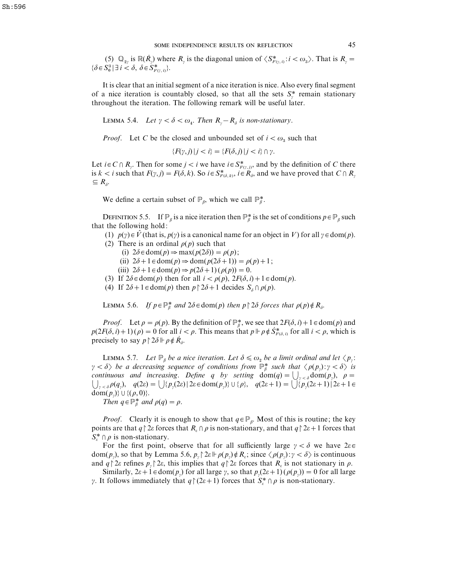(5)  $\mathbb{Q}_{2\gamma}$  is  $\mathbb{R}(\dot{R}_\gamma)$  where  $R_\gamma$  is the diagonal union of  $\langle S^*_{F(\gamma,i)} : i < \omega_3 \rangle$ . That is  $R_\gamma =$  $\{\delta \in S_0^3 \mid \exists i < \delta, \ \delta \in S_{F(\gamma, i)}^* \}.$ 

It is clear that an initial segment of a nice iteration is nice. Also every final segment of a nice iteration is countably closed, so that all the sets  $S^*$  remain stationary throughout the iteration. The following remark will be useful later.

LEMMA 5.4. *Let*  $\gamma < \delta < \omega_4$ . *Then*  $R_{\gamma} - R_{\delta}$  *is non-stationary*.

*Proof.* Let *C* be the closed and unbounded set of  $i < \omega_3$  such that

$$
\{F(\gamma, j) | j < i\} = \{F(\delta, j) | j < i\} \cap \gamma.
$$

Let  $i \in C \cap R_{\gamma}$ . Then for some  $j < i$  we have  $i \in S_{F(\gamma, j)}^*$ , and by the definition of *C* there Let  $i \in C \cap R_{\gamma}$ . Then for some  $j < i$  we have  $i \in S_{F(\gamma, j)}^*$ , and by the definition of *C* there is  $k < i$  such that  $F(\gamma, j) = F(\delta, k)$ . So  $i \in S_{F(\delta, k)}^*$ ,  $i \in R_{\delta}$ , and we have proved that  $C \cap R_{\gamma}$  $\subseteq R_{\delta}$ .

We define a certain subset of  $\mathbb{P}_{\beta}$ , which we call  $\mathbb{P}_{\beta}^*$ .

DEFINITION 5.5. If  $\mathbb{P}_{\beta}$  is a nice iteration then  $\mathbb{P}_{\beta}^{*}$  is the set of conditions  $p \in \mathbb{P}_{\beta}$  such that the following hold:

- (1)  $p(y) \in V$  (that is,  $p(y)$  is a canonical name for an object in *V*) for all  $\gamma \in \text{dom}(p)$ .
- (2) There is an ordinal  $\rho(p)$  such that
	- (i)  $2\delta \in \text{dom}(p) \Rightarrow \max(p(2\delta)) = \rho(p);$ 
		- (ii)  $2\delta + 1 \in \text{dom}(p) \Rightarrow \text{dom}(p(2\delta+1)) = \rho(p) + 1;$
	- (iii)  $2\delta + 1 \in \text{dom}(p) \Rightarrow p(2\delta + 1) (\rho(p)) = 0.$
- (3) If  $2\delta \in \text{dom}(p)$  then for all  $i < \rho(p)$ ,  $2F(\delta, i) + 1 \in \text{dom}(p)$ .
- (4) If  $2\delta + 1 \in \text{dom}(p)$  then  $p \upharpoonright 2\delta + 1$  decides  $S_\delta \cap \rho(p)$ .

**LEMMA 5.6.** *If*  $p \in \mathbb{P}_{\beta}^{*}$  *and*  $2\delta \in \text{dom}(p)$  *then*  $p \upharpoonright 2\delta$  *forces that*  $p(p) \notin R_{\delta}$ .

*Proof.* Let  $\rho = \rho(p)$ . By the definition of  $\mathbb{P}_{\beta}^{*}$ , we see that  $2F(\delta, i) + 1 \in \text{dom}(p)$  and *p*(2*F*( $\delta$ , *i*)+1)( $\rho$ ) = 0 for all *i* <  $\rho$ . This means that  $p \Vdash \rho \notin \dot{S}_{F(\delta, i)}^*$  for all *i* <  $\rho$ , which is precisely to say  $p \upharpoonright 2\delta \Vdash \rho \notin \dot{R}_{\delta}$ .

LEMMA 5.7. *Let*  $\mathbb{P}_{\beta}$  *be a nice iteration. Let*  $\delta \leq \omega_{2}$  *be a limit ordinal and let*  $\langle p_{\gamma}$ *:*  $\gamma < \delta$  *be a decreasing sequence of conditions from*  $\mathbb{P}_{\beta}^{*}$  *such that*  $\langle \rho(p_{\gamma}); \gamma < \delta \rangle$  *is continuous and increasing. Define q by setting*  $\text{dom}(q) = \bigcup_{\gamma < \delta} \text{dom}(p_{\gamma}), \ \rho =$  $\bigcup_{\gamma < \delta} \rho(q_\gamma)$ ,  $q(2\varepsilon) = \bigcup \{p_\gamma(2\varepsilon) | 2\varepsilon \in \text{dom}(p_\gamma)\} \cup \{\rho\}$ ,  $q(2\varepsilon+1) = \bigcup \{p_\gamma(2\varepsilon+1) | 2\varepsilon+1 \in \mathbb{C}\}$ dom( $p_y$ )<sup>}</sup>  $\cup$  {( $\rho$ , 0)}.

*Then*  $q \in \mathbb{P}_{\beta}^*$  *and*  $p(q) = p$ .

*Proof.* Clearly it is enough to show that  $q \in \mathbb{P}_{\beta}$ . Most of this is routine; the key points are that  $q \nvert 2\varepsilon$  forces that  $R_{\varepsilon} \cap \rho$  is non-stationary, and that  $q \nvert 2\varepsilon + 1$  forces that  $S_{\varepsilon}^* \cap \rho$  is non-stationary.

For the first point, observe that for all sufficiently large  $\gamma < \delta$  we have  $2\varepsilon \in$ dom(*p<sub>γ</sub>*), so that by Lemma 5.6,  $p_\nu \upharpoonright 2\varepsilon \Vdash \rho(p_\nu) \notin R_\varepsilon$ ; since  $\langle \rho(p_\nu): \gamma < \delta \rangle$  is continuous and  $q \nvert 2\varepsilon$  refines  $p_y \nvert 2\varepsilon$ , this implies that  $q \nvert 2\varepsilon$  forces that  $R_\varepsilon$  is not stationary in  $\rho$ .

Similarly,  $2\varepsilon + 1 \in \text{dom}(p_v)$  for all large *γ*, so that  $p_v(2\varepsilon+1)(\rho(p_v)) = 0$  for all large *γ*. It follows immediately that  $q \upharpoonright (2\varepsilon + 1)$  forces that  $S_{\varepsilon}^{*} \cap \rho$  is non-stationary.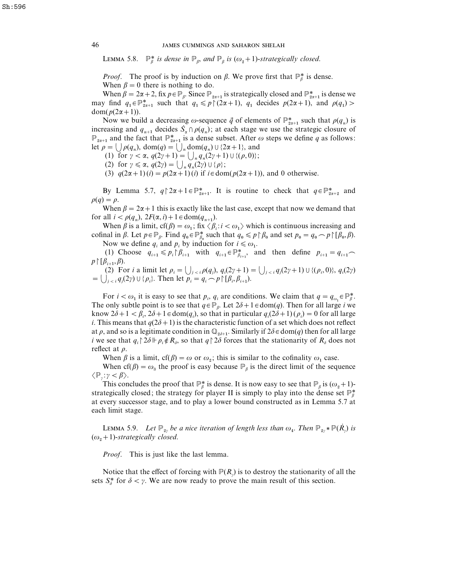LEMMA 5.8.  $\mathbb{P}_{\beta}^{*}$  *is dense in*  $\mathbb{P}_{\beta}$ *, and*  $\mathbb{P}_{\beta}$  *is* ( $\omega_{2}$  + 1)-*strategically closed.* 

*Proof.* The proof is by induction on  $\beta$ . We prove first that  $\mathbb{P}_{\beta}^{*}$  is dense. When  $\beta = 0$  there is nothing to do.

When  $\beta = 0$  there is nothing to do.<br>When  $\beta = 2\alpha + 2$ , fix  $p \in \mathbb{P}_{\beta}$ . Since  $\mathbb{P}_{2\alpha+1}$  is strategically closed and  $\mathbb{P}_{2\alpha+1}^*$  is dense we When  $\beta = 2\alpha + 2$ , fix  $p \in \mathbb{P}_{\beta}$ . Since  $\mathbb{P}_{2\alpha+1}$  is strategically closed and  $\mathbb{P}_{2\alpha+1}^*$  is dense we may find  $q_1 \in \mathbb{P}_{2\alpha+1}^*$  such that  $q_1 \leq p \upharpoonright (2\alpha+1)$ ,  $q_1$  decides  $p(2\alpha+1)$ , and  $p(q_1)$ dom( $p(2\alpha+1)$ ).

n(*p*(2*α* + 1)).<br>Now we build a decreasing ω-sequence  $\vec{q}$  of elements of  $\mathbb{P}_{2\alpha+1}^{*}$  such that  $\rho(q_n)$  is increasing and  $q_{n+1}$  decides  $S_{\alpha} \cap \rho(q_n)$ ; at each stage we use the strategic closure of increasing and  $q_{n+1}$  decides  $S_{\alpha} \cap \rho(q_n)$ ; at each stage we use the strategic closure of  $\mathbb{P}_{2\alpha+1}$  and the fact that  $\mathbb{P}_{2\alpha+1}^*$  is a dense subset. After  $\omega$  steps we define  $q$  as follows: let  $\rho = \bigcup_{n} \rho(q_n)$ , dom $(q) = \bigcup_{n} \text{dom}(q_n) \cup \{2\alpha + 1\}$ , and

(1) for  $\gamma < \alpha$ ,  $q(2\gamma + 1) = \bigcup_{n} q_n(2\gamma + 1) \cup \{(\rho, 0)\};$ 

(2) for  $\gamma \le \alpha$ ,  $q(2\gamma) = \bigcup_n q_n(2\gamma) \cup \{\rho\};$ 

(3)  $q(2\alpha+1)$  (*i*) =  $p(2\alpha+1)$  (*i*) if  $i \in \text{dom}(p(2\alpha+1))$ , and 0 otherwise.

By Lemma 5.7,  $q \upharpoonright 2\alpha + 1 \in \mathbb{P}_{2\alpha+1}^*$ . It is routine to check that  $q \in \mathbb{P}_{2\alpha+2}^*$  and  $\rho(q) = \rho$ .

When  $\beta = 2\alpha + 1$  this is exactly like the last case, except that now we demand that for all  $i < \rho(q_n)$ ,  $2F(\alpha, i) + 1 \in \text{dom}(q_{n+1})$ .

When  $\beta$  is a limit, cf( $\beta$ ) =  $\omega_1$ ; fix  $\langle \beta_i : i < \omega_1 \rangle$  which is continuous increasing and When *β* is a limit,  $cf(\beta) = \omega_1$ ; fix  $\langle \beta_i : i \langle \omega_1 \rangle$  which is continuous increasing and cofinal in *β*. Let  $p \in \mathbb{P}_{\beta}$ . Find  $q_0 \in \mathbb{P}_{\beta_0}^*$  such that  $q_0 \leq p \upharpoonright \beta_0$  and set  $p_0 = q_0 \sim p \upharpoonright [\beta_0, \beta)$ .

Now we define  $q_i$  and  $p_i$  by induction for  $i \leq \omega_1$ .

Now we define  $q_i$  and  $p_i$  by induction for  $i \leq \omega_1$ .<br>
(1) Choose  $q_{i+1} \leq p_i \upharpoonright \beta_{i+1}$  with  $q_{i+1} \in \mathbb{P}_{\beta_{i+1}}^*$ , and then define  $p_{i+1} = q_{i+1}$  $p \upharpoonright [\beta_{i+1}, \beta].$ 

(2) For *i* a limit let  $\rho_i = \bigcup_{j \lt i} \rho(q_j)$ ,  $q_i(2\gamma + 1) = \bigcup_{j \lt i} q_j(2\gamma + 1) \cup \{(\rho_i, 0)\}, q_i(2\gamma)$  $= \bigcup_{j \leq i} q_j(2\gamma) \cup \{p_i\}.$  Then let  $p_i = q_i \frown p \upharpoonright [ \beta_i, \beta_{i+1}).$ 

For  $i < \omega_1$  it is easy to see that  $p_i$ ,  $q_i$  are conditions. We claim that  $q = q_{\omega_1} \in \mathbb{P}_{\beta}^*$ . The only subtle point is to see that  $q \in \mathbb{P}_{\beta}$ . Let  $2\delta + 1 \in \text{dom}(q)$ . Then for all large *i* we know  $2\delta + 1 < \beta_i$ ,  $2\delta + 1 \in \text{dom}(q_i)$ , so that in particular  $q_i(2\delta + 1)(\rho_i) = 0$  for all large *i*. This means that  $q(2\delta+1)$  is the characteristic function of a set which does not reflect at  $\rho$ , and so is a legitimate condition in  $\mathbb{Q}_{2\delta+1}$ . Similarly if  $2\delta \in \text{dom}(q)$  then for all large *i* we see that  $q_i \nvert 2\delta \nvert \nvert p_i \notin R_\delta$ , so that  $q \nvert 2\delta$  forces that the stationarity of  $R_\delta$  does not reflect at  $\rho$ .

When  $\beta$  is a limit, cf( $\beta$ ) = ω or  $\omega_2$ ; this is similar to the cofinality  $\omega_1$  case.

When cf( $\beta$ ) =  $\omega_3$  the proof is easy because  $\mathbb{P}_\beta$  is the direct limit of the sequence  $\langle \mathbb{P}_{\nu} : \gamma < \beta \rangle$ .

:  $\gamma < \beta$ ).<br>This concludes the proof that  $\mathbb{P}^*_{\beta}$  is dense. It is now easy to see that  $\mathbb{P}_{\beta}$  is  $(\omega_2 + 1)$ -This concludes the proof that  $\mathbb{P}_{\beta}^{*}$  is dense. It is now easy to see that  $\mathbb{P}_{\beta}$  is  $(\omega_{2}+1)$ -<br>strategically closed; the strategy for player II is simply to play into the dense set  $\mathbb{P}_{\beta}^{*}$ at every successor stage, and to play a lower bound constructed as in Lemma 5.7 at each limit stage.

**LEMMA 5.9.** Let  $\mathbb{P}_{2y}$  be a nice iteration of length less than  $\omega_4$ . Then  $\mathbb{P}_{2y} * \mathbb{P}(\dot{R}_y)$  is  $(\omega_2+1)$ -strategically closed.

*Proof*. This is just like the last lemma.

Notice that the effect of forcing with  $P(R_y)$  is to destroy the stationarity of all the sets  $S^*_{\delta}$  for  $\delta < \gamma$ . We are now ready to prove the main result of this section.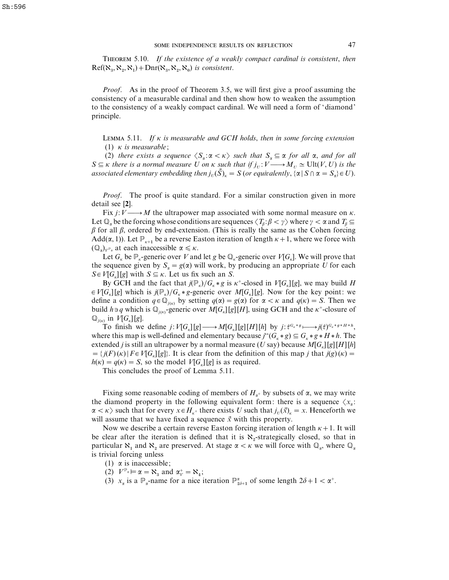THEOREM 5.10. If the existence of a weakly compact cardinal is consistent, then  $Ref(\aleph_3, \aleph_2, \aleph_1) + Dnr(\aleph_3, \aleph_2, \aleph_0)$  *is consistent.* 

*Proof*. As in the proof of Theorem 3.5, we will first give a proof assuming the consistency of a measurable cardinal and then show how to weaken the assumption to the consistency of a weakly compact cardinal. We will need a form of 'diamond' principle.

L 5.11. *If* κ *is measurable and GCH holds*, *then in some forcing extension* (1) κ *is measurable*;

(2) *there exists a sequence*  $\langle S_{\alpha}: \alpha \langle \alpha \rangle$  *such that*  $S_{\alpha} \subseteq \alpha$  *for all*  $\alpha$ *, and for all*  $S \subseteq \kappa$  *there is a normal measure U on*  $\kappa$  *such that if*  $j_U: V \longrightarrow M_U \simeq \text{Ult}(V, U)$  *is the associated elementary embedding then*  $j_{U}(\tilde{S})_{K} = S$  (*or equivalently*,  $\{\alpha \mid S \cap \alpha = S_{\alpha}\} \in U$ ).

*Proof.* The proof is quite standard. For a similar construction given in more detail see [**2**].

Fix  $j: V \longrightarrow M$  the ultrapower map associated with some normal measure on  $\kappa$ . Let  $\mathbb{Q}_n$  be the forcing whose conditions are sequences  $\langle T_\beta: \beta < \gamma \rangle$  where  $\gamma < \alpha$  and  $T_\beta \subseteq$  $β$  for all  $β$ , ordered by end-extension. (This is really the same as the Cohen forcing  $Add(\alpha, 1)$ ). Let  $\mathbb{P}_{\kappa+1}$  be a reverse Easton iteration of length  $\kappa+1$ , where we force with  $(\mathbb{Q}_{\alpha})_{V^{\mathbb{P}_{\alpha}}}$  at each inaccessible  $\alpha \leq \kappa$ .

Let  $G_k$  be  $\mathbb{P}_k$ -generic over *V* and let *g* be  $\mathbb{Q}_k$ -generic over  $V[G_k]$ . We will prove that the sequence given by  $S_\alpha = g(\alpha)$  will work, by producing an appropriate *U* for each  $S \in V[G_{\kappa}][g]$  with  $S \subseteq \kappa$ . Let us fix such an *S*.

By GCH and the fact that  $j(\mathbb{P}_{k})/G_{k}*g$  is  $\kappa^{+}$ -closed in  $V[G_{k}][g]$ , we may build *H*  $\in V[G_{\kappa}][g]$  which is  $j(\mathbb{P}_{\kappa})/G_{\kappa}*g$ -generic over  $M[G_{\kappa}][g]$ . Now for the key point: we define a condition  $q \in \mathbb{Q}_{j(k)}$  by setting  $q(\alpha) = g(\alpha)$  for  $\alpha < \kappa$  and  $q(\kappa) = S$ . Then we build  $h \ni q$  which is  $\mathbb{Q}_{j(k)}$ -generic over  $M[G_{k}][g][H]$ , using GCH and the  $\kappa^{+}$ -closure of  $\mathbb{Q}_{j(k)}$  in  $V[G_k][g]$ .

To finish we define  $j: V[G_{\kappa}][g] \longrightarrow M[G_{\kappa}][g][H][h]$  by  $j: \tau^{G_{\kappa}*g} \longmapsto j(\tau)^{G_{\kappa}*g*H*h}$ , where this map is well-defined and elementary because  $j''(G_k * g) \subseteq G_k * g * H * h$ . The extended *j* is still an ultrapower by a normal measure (*U* say) because  $M[G_{\kappa}][g][H][h]$  $= \{ j(F)(\kappa) | F \in V[G_{\kappa}][g] \}.$  It is clear from the definition of this map *j* that  $j(g)(\kappa) =$  $h(\kappa) = q(\kappa) = S$ , so the model *V*[*G*<sub>K</sub>][*g*] is as required.

This concludes the proof of Lemma 5.11.

Fixing some reasonable coding of members of  $H_{\alpha^+}$  by subsets of  $\alpha$ , we may write the diamond property in the following equivalent form: there is a sequence  $\langle x_{\alpha} :$  $\alpha < \kappa$  such that for every  $x \in H_{\kappa^+}$  there exists *U* such that  $j_U(\vec{x})_\kappa = x$ . Henceforth we will assume that we have fixed a sequence  $\vec{x}$  with this property.

Now we describe a certain reverse Easton forcing iteration of length  $\kappa + 1$ . It will be clear after the iteration is defined that it is  $\aleph_2$ -strategically closed, so that in particular  $\aleph_1$  and  $\aleph_2$  are preserved. At stage  $\alpha < \kappa$  we will force with  $\mathbb{Q}_\alpha$ , where  $\mathbb{Q}_\alpha$ is trivial forcing unless

- (1)  $\alpha$  is inaccessible;
- (2)  $V^{\mathbb{P}_{\alpha}} \models \alpha = \aleph_3$  and  $\alpha_V^+ = \aleph_4$ ;
- (3)  $x_{\alpha}$  is a  $\mathbb{P}_{\alpha}$ -name for a nice iteration  $\mathbb{P}_{2\delta+1}^{\alpha}$  of some length  $2\delta+1 < \alpha^{+}$ .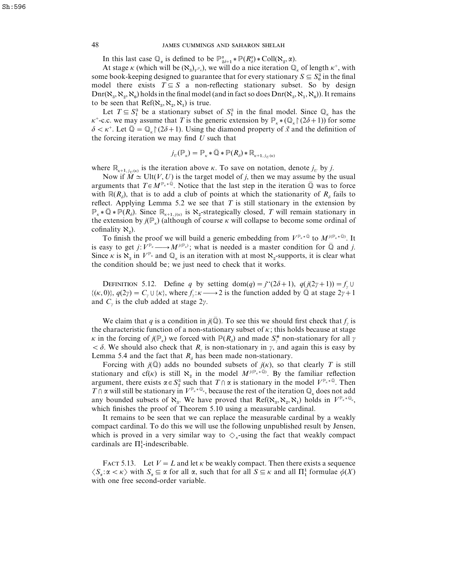In this last case  $\mathbb{Q}_{\alpha}$  is defined to be  $\mathbb{P}^{\alpha}_{2\delta+1} * \mathbb{P}(R^{\alpha}_{\delta}) * \text{Coll}(\aleph_2, \alpha)$ .

At stage  $\kappa$  (which will be  $(\aleph_3)_{V^{\mathbb{P}_\kappa}}$ ), we will do a nice iteration  $\mathbb{Q}_\kappa$  of length  $\kappa^+$ , with Some book-keeping designed to guarantee that for every stationary  $S \subseteq S_0^3$  in the final some book-keeping designed to guarantee that for every stationary  $S \subseteq S_0^3$  in the final model there exists  $T \subseteq S$  a non-reflecting stationary subset. So by design  $\text{Dnr}(\aleph_3, \aleph_2, \aleph_0)$  holds in the final model (and in fact so does  $\text{Dnr}(\aleph_3, \aleph_1, \aleph_0)$ ). It remains to be seen that  $Ref(\aleph_3, \aleph_2, \aleph_1)$  is true.

 Let  $T \subseteq S_1^3$  be a stationary subset of  $S_1^3$  in the final model. Since  $\mathbb{Q}_k$  has the  $\kappa^+$ -c.c. we may assume that *T* is the generic extension by  $\mathbb{P}_{\kappa} * (\mathbb{Q}_{\kappa} \upharpoonright (2\delta+1))$  for some  $\delta < \kappa^+$ . Let  $\overline{Q} = Q$  (2 $\delta + 1$ ). Using the diamond property of  $\vec{x}$  and the definition of the forcing iteration we may find *U* such that

$$
j_U(\mathbb{P}_\kappa)=\mathbb{P}_\kappa\ast\bar{\mathbb{Q}}\ast\mathbb{P}(R_\delta)\ast\mathbb{R}_{\kappa+1,\,j_U(\kappa)}
$$

where  $\mathbb{R}_{k+1,j_U(k)}$  is the iteration above  $\kappa$ . To save on notation, denote  $j_U$  by  $j$ .

Now if  $\widetilde{M} \simeq \text{Ult}(V, U)$  is the target model of *j*, then we may assume by the usual arguments that  $T \in M^{\mathbb{P}_k \times \bar{\mathbb{Q}}}$ . Notice that the last step in the iteration  $\bar{\mathbb{Q}}$  was to force with  $\mathbb{R}(R_{\delta})$ , that is to add a club of points at which the stationarity of  $R_{\delta}$  fails to reflect. Applying Lemma 5.2 we see that  $T$  is still stationary in the extension by  $\mathbb{P}_{\kappa} * \overline{\mathbb{Q}} * \mathbb{P}(R_{\delta})$ . Since  $\mathbb{R}_{\kappa+1,j(\kappa)}$  is  $\aleph_2$ -strategically closed, *T* will remain stationary in the extension by  $j(\mathbb{P}_{\kappa})$  (although of course  $\kappa$  will collapse to become some ordinal of cofinality  $\aleph_2$ ).

To finish the proof we will build a generic embedding from  $V^{\mathbb{P}_{\kappa} \times \bar{\mathbb{Q}}}$  to  $M^{j(\mathbb{P}_{\kappa} \times \bar{\mathbb{Q}})}$ . It is easy to get *j*:  $V^{\mathbb{P}_{\kappa}} \longrightarrow M^{j(\mathbb{P}_{\kappa})}$ ; what is needed is a master condition for  $\overline{\mathbb{Q}}$  and *j*. Since  $\kappa$  is  $\aleph_3$  in  $V^{\mathbb{P}_{\kappa}}$  and  $\mathbb{Q}_{\kappa}$  is an iteration with at most  $\aleph_2$ -supports, it is clear what the condition should be; we just need to check that it works.

DEFINITION 5.12. Define *q* by setting dom(*q*) =  $i^{\prime\prime}(2\delta+1)$ ,  $q(i(2\gamma+1))=f_{\gamma}\cup f_{\gamma}$  $\{(k, 0)\}, q(2\gamma) = C_\gamma \cup \{k\}, \text{ where } f_\gamma : \kappa \longrightarrow 2 \text{ is the function added by } \overline{Q} \text{ at stage } 2\gamma + 1$ and  $C<sub>y</sub>$  is the club added at stage 2γ.

We claim that *q* is a condition in *j*( $\mathbb{Q}$ ). To see this we should first check that *f*<sub>*y*</sub> is the characteristic function of a non-stationary subset of  $\kappa$ ; this holds because at stage κ in the forcing of  $j(\mathbb{P}_\kappa)$  we forced with  $\mathbb{P}(R_\delta)$  and made  $S^*$  non-stationary for all  $\gamma$  $< \delta$ . We should also check that *R<sub>v</sub>* is non-stationary in  $\gamma$ , and again this is easy by Lemma 5.4 and the fact that  $R_{\delta}$  has been made non-stationary.

Forcing with  $j(\mathbb{Q})$  adds no bounded subsets of  $j(\kappa)$ , so that clearly *T* is still stationary and cf( $\kappa$ ) is still  $\aleph_2$  in the model  $M^{j(\mathbb{P}_{\kappa} \ast \overline{\mathbb{Q}})}$ . By the familiar reflection argument, there exists  $\alpha \in S_2^3$  such that  $T \cap \alpha$  is stationary in the model  $V^{\mathbb{P}_{k} \times \mathbb{Q}}$ . Then  $T \cap \alpha$  will still be stationary in  $V^{\mathbb{P}_{\kappa} \times \mathbb{Q}_{\kappa}}$ , because the rest of the iteration  $\mathbb{Q}_{\kappa}$  does not add any bounded subsets of  $\aleph_{3}$ . We have proved that  $Ref(\aleph_{3}, \aleph_{2}, \aleph_{1})$  holds in  $V^{\mathbb{P}_{\kappa} \times \mathbb{Q}_{\kappa}}$ , which finishes the proof of Theorem 5.10 using a measurable cardinal.

It remains to be seen that we can replace the measurable cardinal by a weakly compact cardinal. To do this we will use the following unpublished result by Jensen, which is proved in a very similar way to  $\Diamond_{\kappa}$ -using the fact that weakly compact which is proved in a very sim<br>cardinals are  $\Pi_1^1$ -indescribable.

FACT 5.13. Let  $V = L$  and let  $\kappa$  be weakly compact. Then there exists a sequence FACT 5.15. Let  $V = L$  and let  $\kappa$  be weakly compact. Then there exists a sequence  $\langle S_{\alpha}: \alpha \langle \kappa \rangle$  with  $S_{\alpha} \subseteq \alpha$  for all  $\alpha$ , such that for all  $S \subseteq \kappa$  and all  $\Pi_1^1$  formulae  $\phi(X)$ with one free second-order variable.